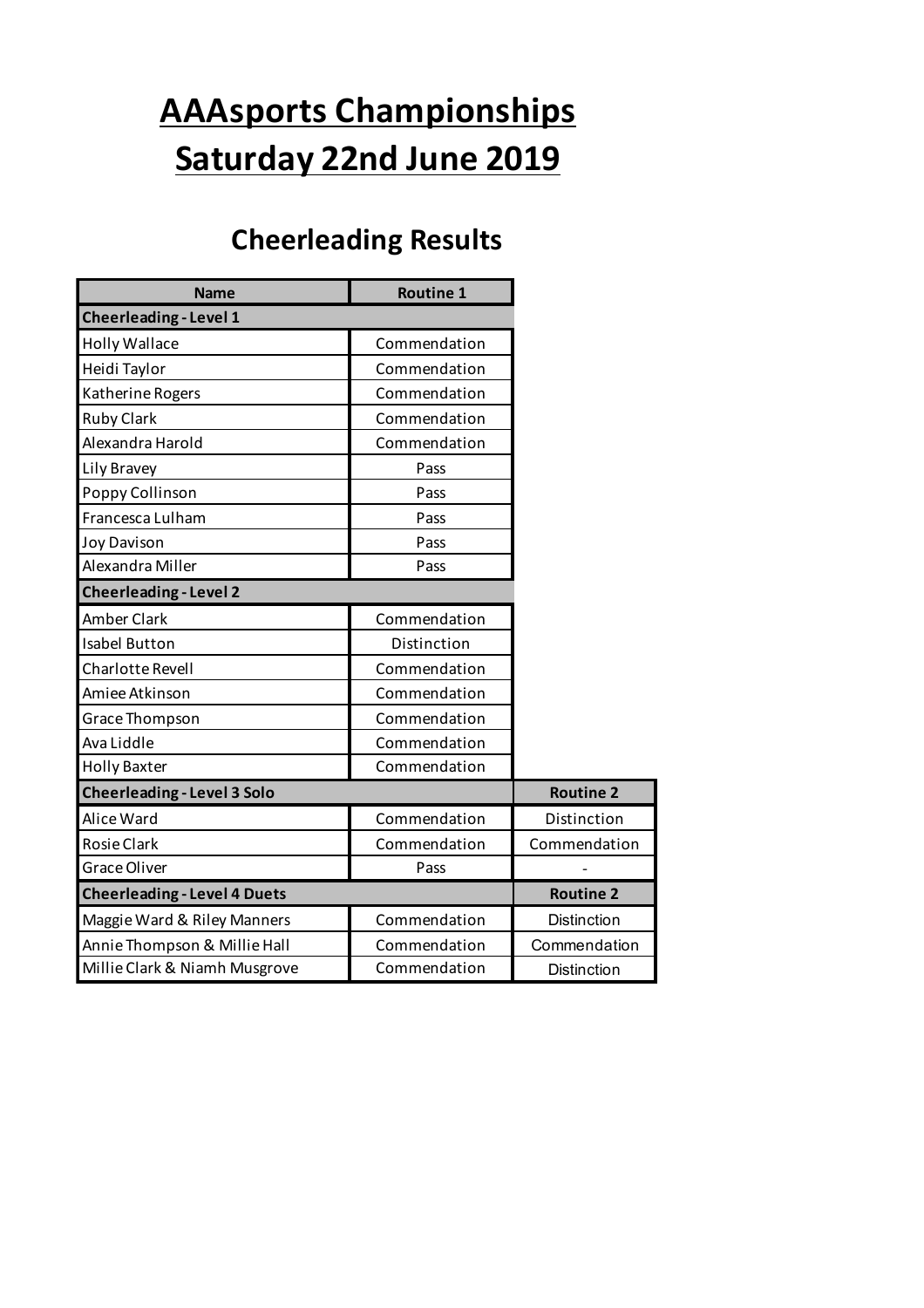## **AAAsports Championships Saturday 22nd June 2019**

### **Cheerleading Results**

| <b>Name</b>                         | <b>Routine 1</b> |                    |
|-------------------------------------|------------------|--------------------|
| <b>Cheerleading - Level 1</b>       |                  |                    |
| <b>Holly Wallace</b>                | Commendation     |                    |
| Heidi Taylor                        | Commendation     |                    |
| Katherine Rogers                    | Commendation     |                    |
| <b>Ruby Clark</b>                   | Commendation     |                    |
| Alexandra Harold                    | Commendation     |                    |
| Lily Bravey                         | Pass             |                    |
| Poppy Collinson                     | Pass             |                    |
| Francesca Lulham                    | Pass             |                    |
| <b>Joy Davison</b>                  | Pass             |                    |
| Alexandra Miller                    | Pass             |                    |
| <b>Cheerleading - Level 2</b>       |                  |                    |
| Amber Clark                         | Commendation     |                    |
| <b>Isabel Button</b>                | Distinction      |                    |
| Charlotte Revell                    | Commendation     |                    |
| Amiee Atkinson                      | Commendation     |                    |
| Grace Thompson                      | Commendation     |                    |
| Ava Liddle                          | Commendation     |                    |
| <b>Holly Baxter</b>                 | Commendation     |                    |
| <b>Cheerleading - Level 3 Solo</b>  |                  | <b>Routine 2</b>   |
| Alice Ward                          | Commendation     | Distinction        |
| <b>Rosie Clark</b>                  | Commendation     | Commendation       |
| <b>Grace Oliver</b>                 | Pass             |                    |
| <b>Cheerleading - Level 4 Duets</b> |                  | <b>Routine 2</b>   |
| Maggie Ward & Riley Manners         | Commendation     | Distinction        |
| Annie Thompson & Millie Hall        | Commendation     | Commendation       |
| Millie Clark & Niamh Musgrove       | Commendation     | <b>Distinction</b> |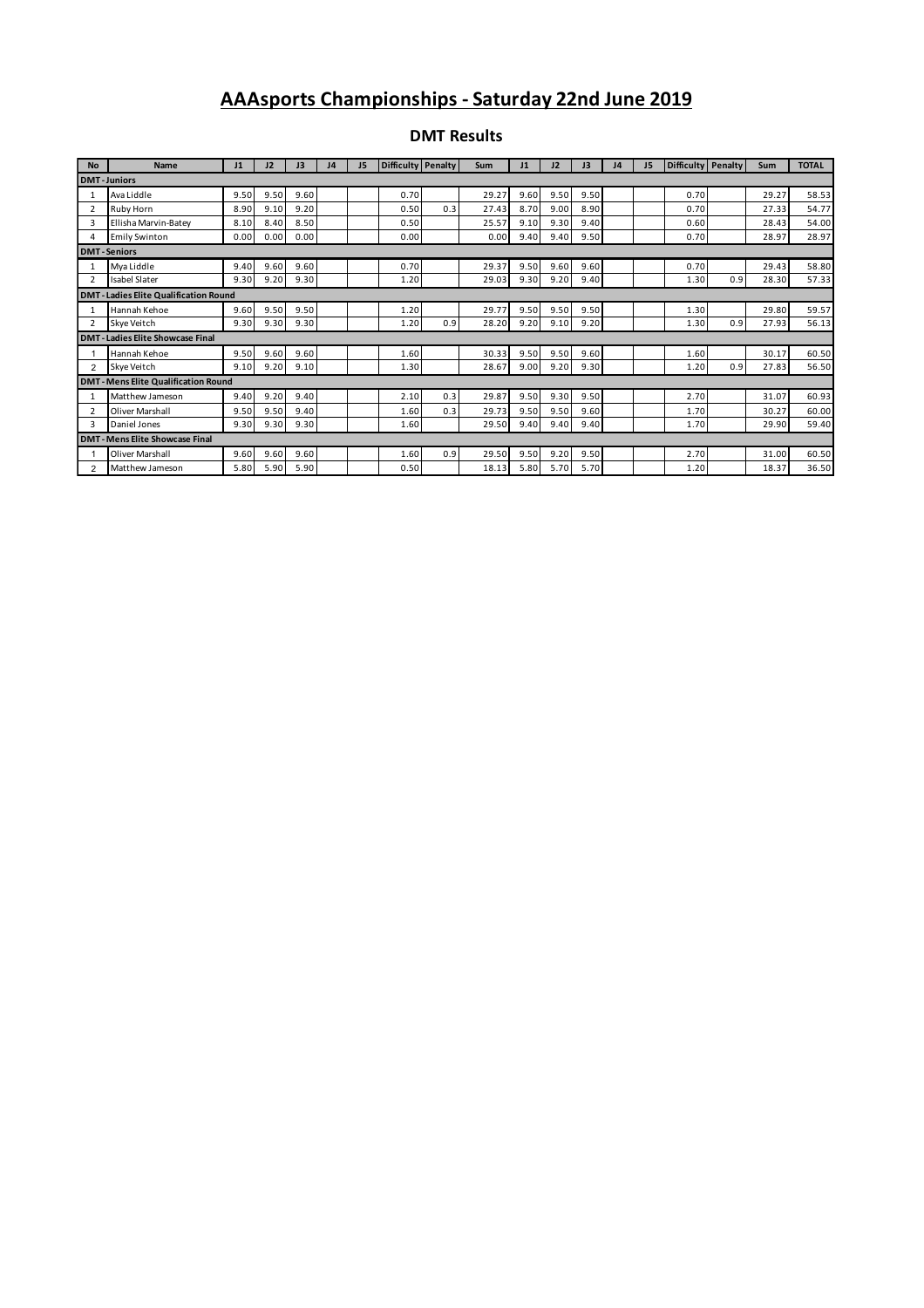#### **AAAsports Championships - Saturday 22nd June 2019**

| <b>No</b>      | Name                                        | J1   | 12   | 13   | J4 | J5 | Difficulty Penalty |     | Sum   | J1   | 12   | J3   | 14 | J <sub>5</sub> | Difficulty Penalty |     | Sum   | <b>TOTAL</b> |
|----------------|---------------------------------------------|------|------|------|----|----|--------------------|-----|-------|------|------|------|----|----------------|--------------------|-----|-------|--------------|
|                | <b>DMT-Juniors</b>                          |      |      |      |    |    |                    |     |       |      |      |      |    |                |                    |     |       |              |
| 1              | Ava Liddle                                  | 9.50 | 9.50 | 9.60 |    |    | 0.70               |     | 29.27 | 9.60 | 9.50 | 9.50 |    |                | 0.70               |     | 29.27 | 58.53        |
| $\overline{2}$ | Ruby Horn                                   | 8.90 | 9.10 | 9.20 |    |    | 0.50               | 0.3 | 27.43 | 8.70 | 9.00 | 8.90 |    |                | 0.70               |     | 27.33 | 54.77        |
| 3              | Ellisha Marvin-Batey                        | 8.10 | 8.40 | 8.50 |    |    | 0.50               |     | 25.57 | 9.10 | 9.30 | 9.40 |    |                | 0.60               |     | 28.43 | 54.00        |
| 4              | <b>Emily Swinton</b>                        | 0.00 | 0.00 | 0.00 |    |    | 0.00               |     | 0.00  | 9.40 | 9.40 | 9.50 |    |                | 0.70               |     | 28.97 | 28.97        |
|                | <b>DMT-Seniors</b>                          |      |      |      |    |    |                    |     |       |      |      |      |    |                |                    |     |       |              |
| 1              | Mya Liddle                                  | 9.40 | 9.60 | 9.60 |    |    | 0.70               |     | 29.37 | 9.50 | 9.60 | 9.60 |    |                | 0.70               |     | 29.43 | 58.80        |
| $\overline{2}$ | Isabel Slater                               | 9.30 | 9.20 | 9.30 |    |    | 1.20               |     | 29.03 | 9.30 | 9.20 | 9.40 |    |                | 1.30               | 0.9 | 28.30 | 57.33        |
|                | <b>DMT-Ladies Elite Qualification Round</b> |      |      |      |    |    |                    |     |       |      |      |      |    |                |                    |     |       |              |
| 1              | Hannah Kehoe                                | 9.60 | 9.50 | 9.50 |    |    | 1.20               |     | 29.77 | 9.50 | 9.50 | 9.50 |    |                | 1.30               |     | 29.80 | 59.57        |
| $\overline{2}$ | Skye Veitch                                 | 9.30 | 9.30 | 9.30 |    |    | 1.20               | 0.9 | 28.20 | 9.20 | 9.10 | 9.20 |    |                | 1.30               | 0.9 | 27.93 | 56.13        |
|                | <b>DMT-Ladies Elite Showcase Final</b>      |      |      |      |    |    |                    |     |       |      |      |      |    |                |                    |     |       |              |
|                | Hannah Kehoe                                | 9.50 | 9.60 | 9.60 |    |    | 1.60               |     | 30.33 | 9.50 | 9.50 | 9.60 |    |                | 1.60               |     | 30.17 | 60.50        |
| $\overline{2}$ | Skve Veitch                                 | 9.10 | 9.20 | 9.10 |    |    | 1.30               |     | 28.67 | 9.00 | 9.20 | 9.30 |    |                | 1.20               | 0.9 | 27.83 | 56.50        |
|                | <b>DMT-Mens Elite Qualification Round</b>   |      |      |      |    |    |                    |     |       |      |      |      |    |                |                    |     |       |              |
| $\mathbf{1}$   | Matthew Jameson                             | 9.40 | 9.20 | 9.40 |    |    | 2.10               | 0.3 | 29.87 | 9.50 | 9.30 | 9.50 |    |                | 2.70               |     | 31.07 | 60.93        |
| $\overline{2}$ | Oliver Marshall                             | 9.50 | 9.50 | 9.40 |    |    | 1.60               | 0.3 | 29.73 | 9.50 | 9.50 | 9.60 |    |                | 1.70               |     | 30.27 | 60.00        |
| 3              | Daniel Jones                                | 9.30 | 9.30 | 9.30 |    |    | 1.60               |     | 29.50 | 9.40 | 9.40 | 9.40 |    |                | 1.70               |     | 29.90 | 59.40        |
|                | <b>DMT-Mens Elite Showcase Final</b>        |      |      |      |    |    |                    |     |       |      |      |      |    |                |                    |     |       |              |
|                | <b>Oliver Marshall</b>                      | 9.60 | 9.60 | 9.60 |    |    | 1.60               | 0.9 | 29.50 | 9.50 | 9.20 | 9.50 |    |                | 2.70               |     | 31.00 | 60.50        |
| $\overline{2}$ | Matthew Jameson                             | 5.80 | 5.90 | 5.90 |    |    | 0.50               |     | 18.13 | 5.80 | 5.70 | 5.70 |    |                | 1.20               |     | 18.37 | 36.50        |

#### **DMT Results**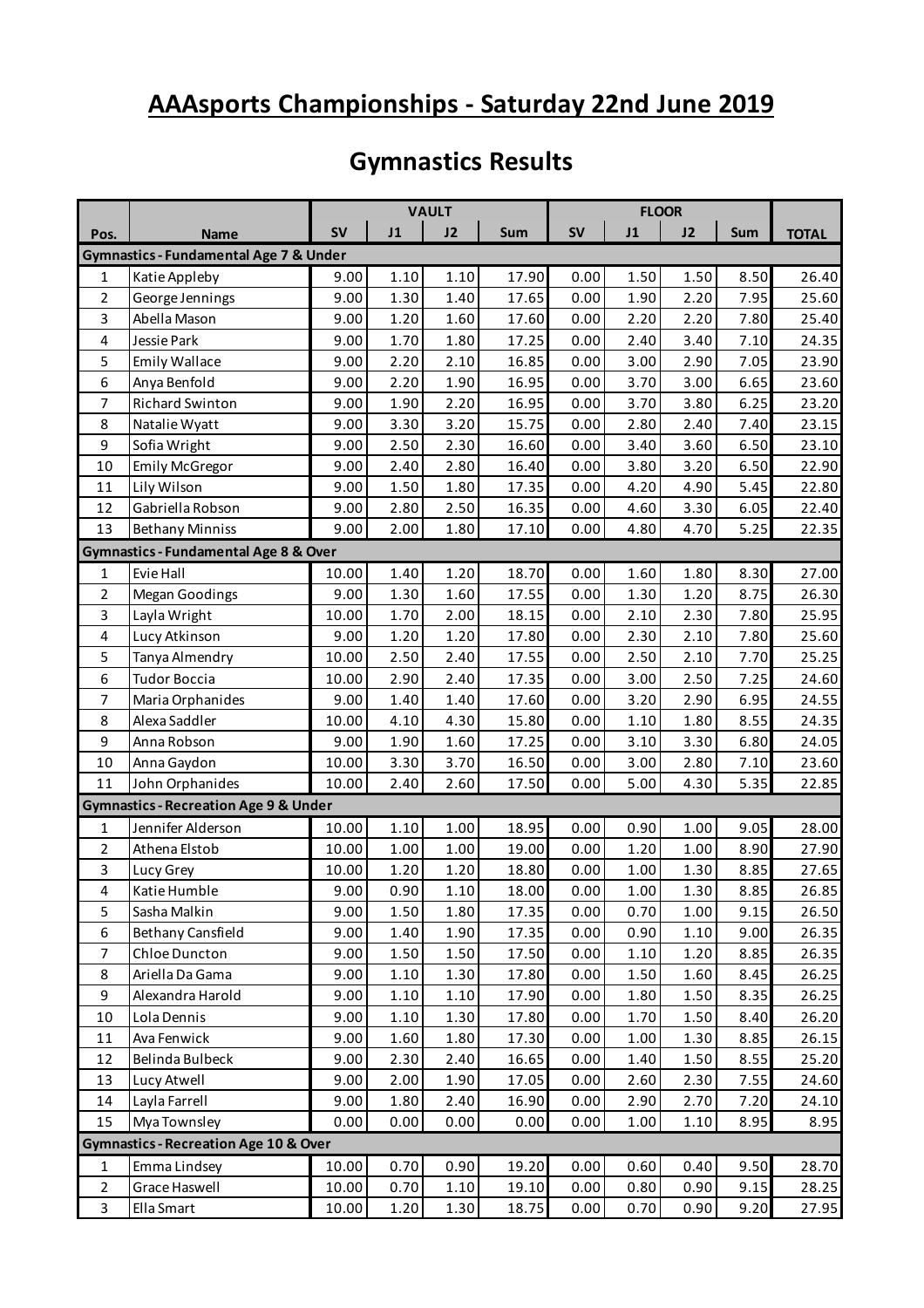#### **AAAsports Championships - Saturday 22nd June 2019**

#### **Gymnastics Results**

|                |                                                   | <b>VAULT</b> |      |      |       |           |      |      |      |              |
|----------------|---------------------------------------------------|--------------|------|------|-------|-----------|------|------|------|--------------|
| Pos.           | <b>Name</b>                                       | <b>SV</b>    | J1   | J2   | Sum   | <b>SV</b> | J1   | J2   | Sum  | <b>TOTAL</b> |
|                | <b>Gymnastics - Fundamental Age 7 &amp; Under</b> |              |      |      |       |           |      |      |      |              |
| 1              | Katie Appleby                                     | 9.00         | 1.10 | 1.10 | 17.90 | 0.00      | 1.50 | 1.50 | 8.50 | 26.40        |
| $\overline{2}$ | George Jennings                                   | 9.00         | 1.30 | 1.40 | 17.65 | 0.00      | 1.90 | 2.20 | 7.95 | 25.60        |
| 3              | Abella Mason                                      | 9.00         | 1.20 | 1.60 | 17.60 | 0.00      | 2.20 | 2.20 | 7.80 | 25.40        |
| 4              | Jessie Park                                       | 9.00         | 1.70 | 1.80 | 17.25 | 0.00      | 2.40 | 3.40 | 7.10 | 24.35        |
| 5              | Emily Wallace                                     | 9.00         | 2.20 | 2.10 | 16.85 | 0.00      | 3.00 | 2.90 | 7.05 | 23.90        |
| 6              | Anya Benfold                                      | 9.00         | 2.20 | 1.90 | 16.95 | 0.00      | 3.70 | 3.00 | 6.65 | 23.60        |
| 7              | Richard Swinton                                   | 9.00         | 1.90 | 2.20 | 16.95 | 0.00      | 3.70 | 3.80 | 6.25 | 23.20        |
| 8              | Natalie Wyatt                                     | 9.00         | 3.30 | 3.20 | 15.75 | 0.00      | 2.80 | 2.40 | 7.40 | 23.15        |
| 9              | Sofia Wright                                      | 9.00         | 2.50 | 2.30 | 16.60 | 0.00      | 3.40 | 3.60 | 6.50 | 23.10        |
| 10             | <b>Emily McGregor</b>                             | 9.00         | 2.40 | 2.80 | 16.40 | 0.00      | 3.80 | 3.20 | 6.50 | 22.90        |
| 11             | Lily Wilson                                       | 9.00         | 1.50 | 1.80 | 17.35 | 0.00      | 4.20 | 4.90 | 5.45 | 22.80        |
| 12             | Gabriella Robson                                  | 9.00         | 2.80 | 2.50 | 16.35 | 0.00      | 4.60 | 3.30 | 6.05 | 22.40        |
| 13             | <b>Bethany Minniss</b>                            | 9.00         | 2.00 | 1.80 | 17.10 | 0.00      | 4.80 | 4.70 | 5.25 | 22.35        |
|                | <b>Gymnastics - Fundamental Age 8 &amp; Over</b>  |              |      |      |       |           |      |      |      |              |
| 1              | Evie Hall                                         | 10.00        | 1.40 | 1.20 | 18.70 | 0.00      | 1.60 | 1.80 | 8.30 | 27.00        |
| 2              | <b>Megan Goodings</b>                             | 9.00         | 1.30 | 1.60 | 17.55 | 0.00      | 1.30 | 1.20 | 8.75 | 26.30        |
| 3              | Layla Wright                                      | 10.00        | 1.70 | 2.00 | 18.15 | 0.00      | 2.10 | 2.30 | 7.80 | 25.95        |
| 4              | Lucy Atkinson                                     | 9.00         | 1.20 | 1.20 | 17.80 | 0.00      | 2.30 | 2.10 | 7.80 | 25.60        |
| 5              | Tanya Almendry                                    | 10.00        | 2.50 | 2.40 | 17.55 | 0.00      | 2.50 | 2.10 | 7.70 | 25.25        |
| 6              | <b>Tudor Boccia</b>                               | 10.00        | 2.90 | 2.40 | 17.35 | 0.00      | 3.00 | 2.50 | 7.25 | 24.60        |
| 7              | Maria Orphanides                                  | 9.00         | 1.40 | 1.40 | 17.60 | 0.00      | 3.20 | 2.90 | 6.95 | 24.55        |
| 8              | Alexa Saddler                                     | 10.00        | 4.10 | 4.30 | 15.80 | 0.00      | 1.10 | 1.80 | 8.55 | 24.35        |
| 9              | Anna Robson                                       | 9.00         | 1.90 | 1.60 | 17.25 | 0.00      | 3.10 | 3.30 | 6.80 | 24.05        |
| 10             | Anna Gaydon                                       | 10.00        | 3.30 | 3.70 | 16.50 | 0.00      | 3.00 | 2.80 | 7.10 | 23.60        |
| 11             | John Orphanides                                   | 10.00        | 2.40 | 2.60 | 17.50 | 0.00      | 5.00 | 4.30 | 5.35 | 22.85        |
|                | <b>Gymnastics - Recreation Age 9 &amp; Under</b>  |              |      |      |       |           |      |      |      |              |
| $\mathbf{1}$   | Jennifer Alderson                                 | 10.00        | 1.10 | 1.00 | 18.95 | 0.00      | 0.90 | 1.00 | 9.05 | 28.00        |
| $\overline{2}$ | Athena Elstob                                     | 10.00        | 1.00 | 1.00 | 19.00 | 0.00      | 1.20 | 1.00 | 8.90 | 27.90        |
| 3              | Lucy Grey                                         | 10.00        | 1.20 | 1.20 | 18.80 | 0.00      | 1.00 | 1.30 | 8.85 | 27.65        |
| 4              | Katie Humble                                      | 9.00         | 0.90 | 1.10 | 18.00 | 0.00      | 1.00 | 1.30 | 8.85 | 26.85        |
| 5              | Sasha Malkin                                      | 9.00         | 1.50 | 1.80 | 17.35 | 0.00      | 0.70 | 1.00 | 9.15 | 26.50        |
| 6              | <b>Bethany Cansfield</b>                          | 9.00         | 1.40 | 1.90 | 17.35 | 0.00      | 0.90 | 1.10 | 9.00 | 26.35        |
| $\overline{7}$ | Chloe Duncton                                     | 9.00         | 1.50 | 1.50 | 17.50 | 0.00      | 1.10 | 1.20 | 8.85 | 26.35        |
| 8              | Ariella Da Gama                                   | 9.00         | 1.10 | 1.30 | 17.80 | 0.00      | 1.50 | 1.60 | 8.45 | 26.25        |
| 9              | Alexandra Harold                                  | 9.00         | 1.10 | 1.10 | 17.90 | 0.00      | 1.80 | 1.50 | 8.35 | 26.25        |
| 10             | Lola Dennis                                       | 9.00         | 1.10 | 1.30 | 17.80 | 0.00      | 1.70 | 1.50 | 8.40 | 26.20        |
| $11\,$         | Ava Fenwick                                       | 9.00         | 1.60 | 1.80 | 17.30 | 0.00      | 1.00 | 1.30 | 8.85 | 26.15        |
| 12             | Belinda Bulbeck                                   | 9.00         | 2.30 | 2.40 | 16.65 | 0.00      | 1.40 | 1.50 | 8.55 | 25.20        |
| 13             | Lucy Atwell                                       | 9.00         | 2.00 | 1.90 | 17.05 | 0.00      | 2.60 | 2.30 | 7.55 | 24.60        |
| 14             | Layla Farrell                                     | 9.00         | 1.80 | 2.40 | 16.90 | 0.00      | 2.90 | 2.70 | 7.20 | 24.10        |
| 15             | Mya Townsley                                      | 0.00         | 0.00 | 0.00 | 0.00  | 0.00      | 1.00 | 1.10 | 8.95 | 8.95         |
|                | <b>Gymnastics - Recreation Age 10 &amp; Over</b>  |              |      |      |       |           |      |      |      |              |
| $\mathbf{1}$   | Emma Lindsey                                      | 10.00        | 0.70 | 0.90 | 19.20 | 0.00      | 0.60 | 0.40 | 9.50 | 28.70        |
| $\overline{2}$ | Grace Haswell                                     | 10.00        | 0.70 | 1.10 | 19.10 | 0.00      | 0.80 | 0.90 | 9.15 | 28.25        |
| 3              | Ella Smart                                        | 10.00        | 1.20 | 1.30 | 18.75 | 0.00      | 0.70 | 0.90 | 9.20 | 27.95        |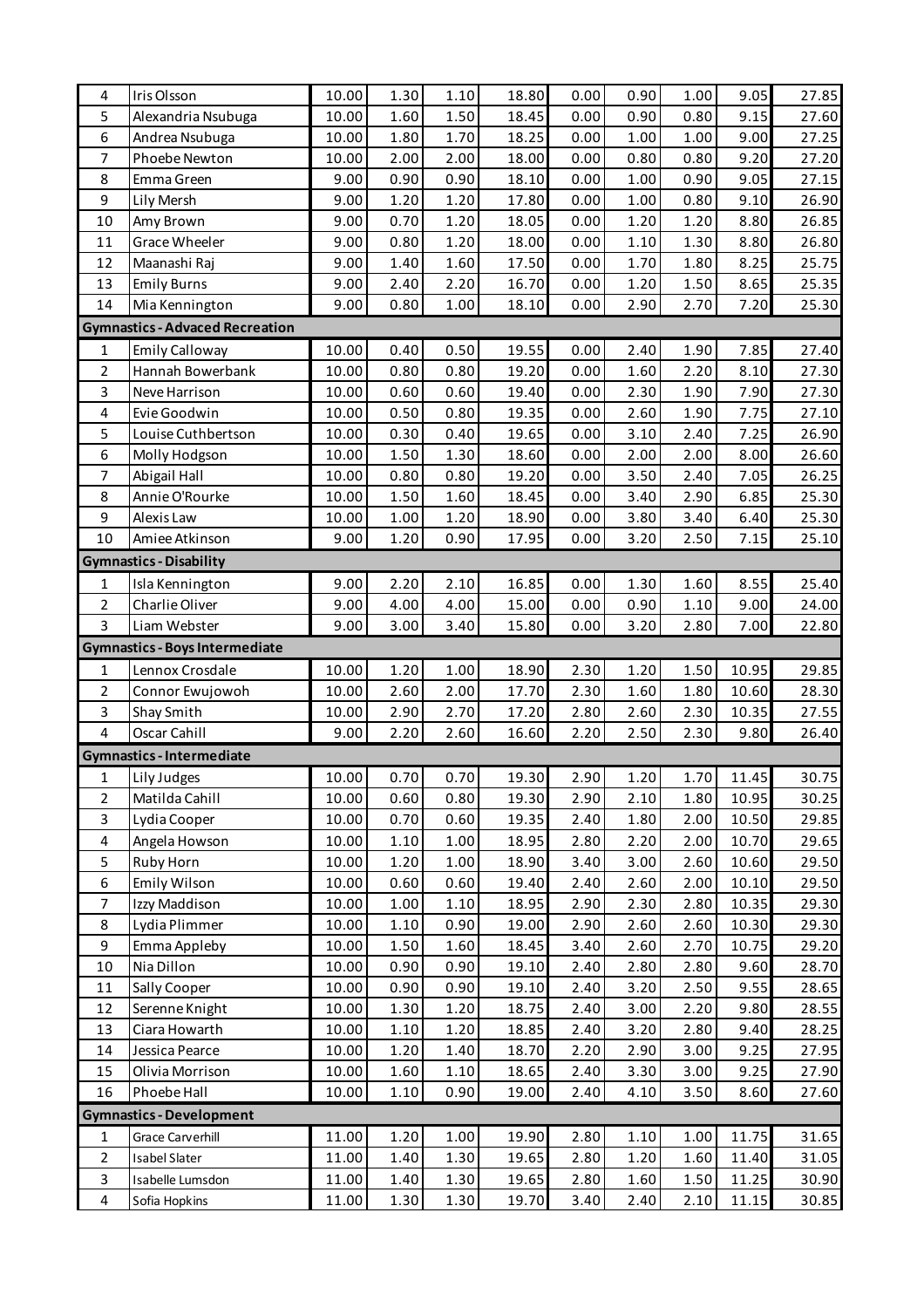| 4              | Iris Olsson                            | 10.00          | 1.30         | 1.10         | 18.80          | 0.00         | 0.90         | 1.00         | 9.05           | 27.85          |
|----------------|----------------------------------------|----------------|--------------|--------------|----------------|--------------|--------------|--------------|----------------|----------------|
| 5              | Alexandria Nsubuga                     | 10.00          | 1.60         | 1.50         | 18.45          | 0.00         | 0.90         | 0.80         | 9.15           | 27.60          |
| 6              | Andrea Nsubuga                         | 10.00          | 1.80         | 1.70         | 18.25          | 0.00         | 1.00         | 1.00         | 9.00           | 27.25          |
| $\overline{7}$ | Phoebe Newton                          | 10.00          | 2.00         | 2.00         | 18.00          | 0.00         | 0.80         | 0.80         | 9.20           | 27.20          |
| 8              | Emma Green                             | 9.00           | 0.90         | 0.90         | 18.10          | 0.00         | 1.00         | 0.90         | 9.05           | 27.15          |
| 9              | Lily Mersh                             | 9.00           | 1.20         | 1.20         | 17.80          | 0.00         | 1.00         | 0.80         | 9.10           | 26.90          |
| 10             | Amy Brown                              | 9.00           | 0.70         | 1.20         | 18.05          | 0.00         | 1.20         | 1.20         | 8.80           | 26.85          |
| 11             | Grace Wheeler                          | 9.00           | 0.80         | 1.20         | 18.00          | 0.00         | 1.10         | 1.30         | 8.80           | 26.80          |
| 12             | Maanashi Raj                           | 9.00           | 1.40         | 1.60         | 17.50          | 0.00         | 1.70         | 1.80         | 8.25           | 25.75          |
| 13             | <b>Emily Burns</b>                     | 9.00           | 2.40         | 2.20         | 16.70          | 0.00         | 1.20         | 1.50         | 8.65           | 25.35          |
| 14             | Mia Kennington                         | 9.00           | 0.80         | 1.00         | 18.10          | 0.00         | 2.90         | 2.70         | 7.20           | 25.30          |
|                | <b>Gymnastics - Advaced Recreation</b> |                |              |              |                |              |              |              |                |                |
| 1              | <b>Emily Calloway</b>                  | 10.00          | 0.40         | 0.50         | 19.55          | 0.00         | 2.40         | 1.90         | 7.85           | 27.40          |
| $\overline{2}$ | Hannah Bowerbank                       | 10.00          | 0.80         | 0.80         | 19.20          | 0.00         | 1.60         | 2.20         | 8.10           | 27.30          |
| 3              | Neve Harrison                          | 10.00          | 0.60         | 0.60         | 19.40          | 0.00         | 2.30         | 1.90         | 7.90           | 27.30          |
| 4              | Evie Goodwin                           | 10.00          | 0.50         | 0.80         | 19.35          | 0.00         | 2.60         | 1.90         | 7.75           | 27.10          |
| 5              | Louise Cuthbertson                     | 10.00          | 0.30         | 0.40         | 19.65          | 0.00         | 3.10         | 2.40         | 7.25           | 26.90          |
| 6              | Molly Hodgson                          | 10.00          | 1.50         | 1.30         | 18.60          | 0.00         | 2.00         | 2.00         | 8.00           | 26.60          |
| $\overline{7}$ | Abigail Hall                           | 10.00          | 0.80         | 0.80         | 19.20          | 0.00         | 3.50         | 2.40         | 7.05           | 26.25          |
| 8              | Annie O'Rourke                         | 10.00          | 1.50         | 1.60         | 18.45          | 0.00         | 3.40         | 2.90         | 6.85           | 25.30          |
| 9              | Alexis Law                             | 10.00          | 1.00         | 1.20         | 18.90          | 0.00         | 3.80         | 3.40         | 6.40           | 25.30          |
| 10             | Amiee Atkinson                         | 9.00           | 1.20         | 0.90         | 17.95          | 0.00         | 3.20         | 2.50         | 7.15           | 25.10          |
|                | <b>Gymnastics - Disability</b>         |                |              |              |                |              |              |              |                |                |
| 1              | Isla Kennington                        | 9.00           | 2.20         | 2.10         | 16.85          | 0.00         | 1.30         | 1.60         | 8.55           | 25.40          |
| $\overline{2}$ | Charlie Oliver                         | 9.00           | 4.00         | 4.00         | 15.00          | 0.00         | 0.90         | 1.10         | 9.00           | 24.00          |
| $\overline{3}$ | Liam Webster                           | 9.00           | 3.00         | 3.40         | 15.80          | 0.00         | 3.20         | 2.80         | 7.00           | 22.80          |
|                | <b>Gymnastics - Boys Intermediate</b>  |                |              |              |                |              |              |              |                |                |
| 1              | Lennox Crosdale                        | 10.00          | 1.20         | 1.00         | 18.90          | 2.30         | 1.20         | 1.50         | 10.95          | 29.85          |
| $\mathbf 2$    | Connor Ewujowoh                        | 10.00          | 2.60         | 2.00         | 17.70          | 2.30         | 1.60         | 1.80         | 10.60          | 28.30          |
| 3              | Shay Smith                             | 10.00          | 2.90         | 2.70         | 17.20          | 2.80         | 2.60         | 2.30         | 10.35          | 27.55          |
| $\pmb{4}$      | Oscar Cahill                           | 9.00           | 2.20         | 2.60         | 16.60          | 2.20         | 2.50         | 2.30         | 9.80           | 26.40          |
|                | <b>Gymnastics - Intermediate</b>       |                |              |              |                |              |              |              |                |                |
| 1              | Lily Judges                            | 10.00          | 0.70         | 0.70         | 19.30          | 2.90         | $1.20$       | 1.70         | 11.45          | 30.75          |
| 2              | Matilda Cahill                         | 10.00          | 0.60         | 0.80         | 19.30          | 2.90         | 2.10         | 1.80         | 10.95          | 30.25          |
| 3              | Lydia Cooper                           | 10.00          | 0.70         | 0.60         | 19.35          | 2.40         | 1.80         | 2.00         | 10.50          | 29.85          |
| 4              | Angela Howson                          | 10.00          | 1.10         | 1.00         | 18.95          | 2.80         | 2.20         | 2.00         | 10.70          | 29.65          |
| 5              | Ruby Horn                              | 10.00          | 1.20         | 1.00         | 18.90          | 3.40         | 3.00         | 2.60         | 10.60          | 29.50          |
| 6              | Emily Wilson                           | 10.00          | 0.60         | 0.60         | 19.40          | 2.40         | 2.60         | 2.00         | 10.10          | 29.50          |
| $\overline{7}$ | Izzy Maddison                          | 10.00          | 1.00         | 1.10         | 18.95          | 2.90         | 2.30         | 2.80         | 10.35          | 29.30          |
| 8              | Lydia Plimmer                          | 10.00          | 1.10         | 0.90         | 19.00          | 2.90         | 2.60         | 2.60         | 10.30          | 29.30          |
| 9              | Emma Appleby                           | 10.00          | 1.50         | 1.60         | 18.45          | 3.40         | 2.60         | 2.70         | 10.75          | 29.20          |
| 10             | Nia Dillon                             | 10.00          | 0.90         | 0.90         | 19.10          | 2.40         | 2.80         | 2.80         | 9.60           | 28.70          |
| 11             | Sally Cooper                           | 10.00          | 0.90         | 0.90         | 19.10          | 2.40         | 3.20         | 2.50         | 9.55           | 28.65          |
| 12             | Serenne Knight                         | 10.00          | 1.30         | 1.20         | 18.75          | 2.40         | 3.00         | 2.20         | 9.80           | 28.55          |
| 13             | Ciara Howarth                          | 10.00          | 1.10         | 1.20         | 18.85          | 2.40         | 3.20         | 2.80         | 9.40           | 28.25          |
| 14             | Jessica Pearce                         | 10.00          | 1.20         | 1.40         | 18.70          | 2.20         | 2.90         | 3.00         | 9.25           | 27.95          |
| 15             | Olivia Morrison                        | 10.00          | 1.60         | 1.10         | 18.65          | 2.40         | 3.30         | 3.00         | 9.25           | 27.90          |
| 16             | Phoebe Hall                            | 10.00          | 1.10         | 0.90         | 19.00          | 2.40         | 4.10         | 3.50         | 8.60           | 27.60          |
|                |                                        |                |              |              |                |              |              |              |                |                |
|                | <b>Gymnastics - Development</b>        |                |              |              |                |              |              |              |                |                |
| 1              | <b>Grace Carverhill</b>                | 11.00          | 1.20         | 1.00         | 19.90          | 2.80         | 1.10         | 1.00         | 11.75          | 31.65          |
| $\overline{2}$ | Isabel Slater                          | 11.00          | 1.40         | 1.30         | 19.65          | 2.80         | 1.20         | 1.60         | 11.40          | 31.05          |
| 3<br>4         | Isabelle Lumsdon<br>Sofia Hopkins      | 11.00<br>11.00 | 1.40<br>1.30 | 1.30<br>1.30 | 19.65<br>19.70 | 2.80<br>3.40 | 1.60<br>2.40 | 1.50<br>2.10 | 11.25<br>11.15 | 30.90<br>30.85 |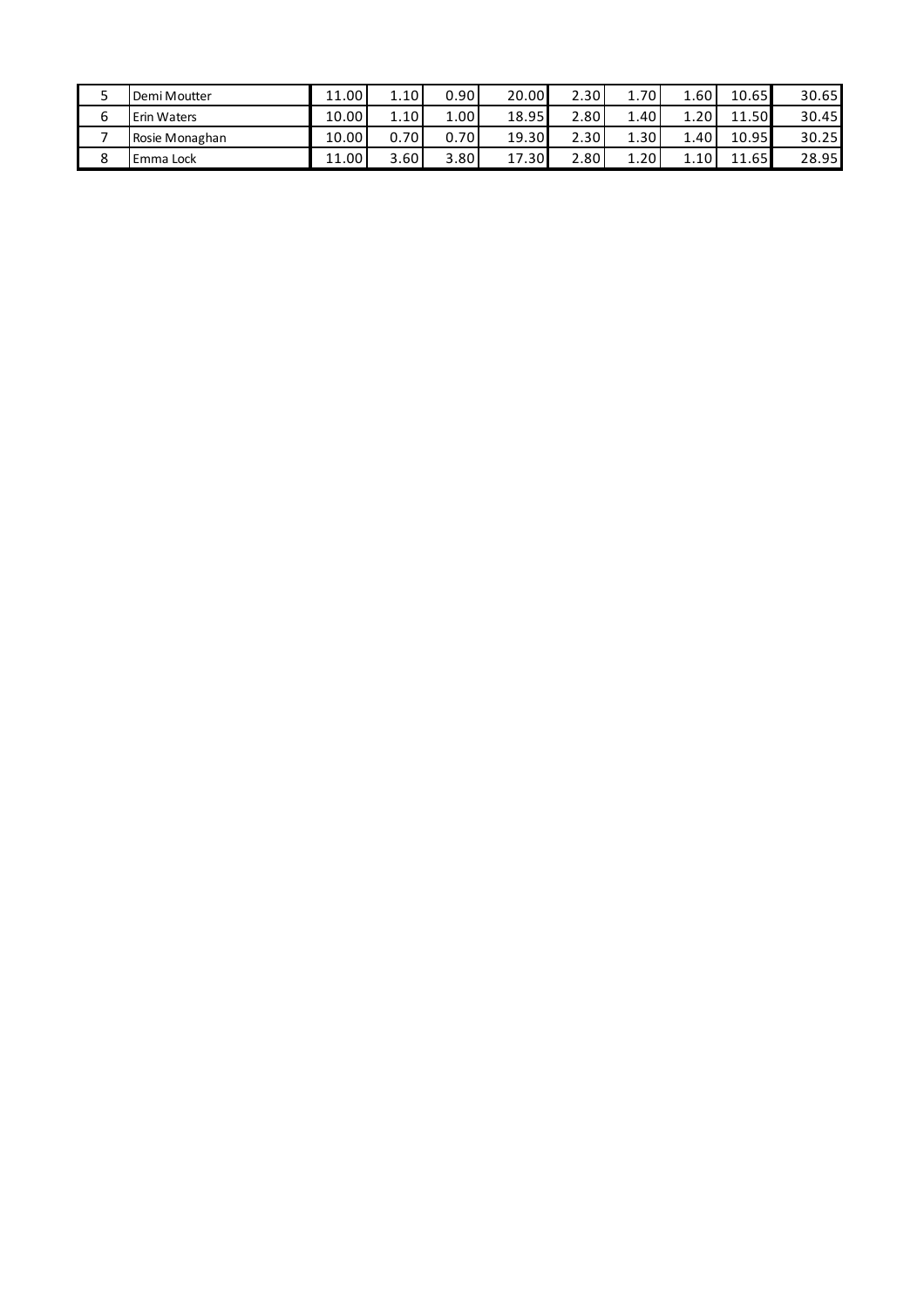|   | Demi Moutter       | 11.00 | 1.10 | 0.90       | 20.00 | 2.30 | 70       | 1.60      | 10.65 | 30.65 |
|---|--------------------|-------|------|------------|-------|------|----------|-----------|-------|-------|
|   | <b>Erin Waters</b> | 10.00 | 1.10 | $\pm 00^+$ | 18.95 | 2.80 | 1.40     | 20.       | 11.50 | 30.45 |
|   | Rosie Monaghan     | 10.00 | 0.70 | 0.70       | 19.30 | 2.30 | 1.30     | $\pm .40$ | 10.95 | 30.25 |
| ິ | Emma Lock          | 11.00 | 3.60 | 3.80       | 17.30 | 2.80 | $\pm 20$ | 10        | 1.65  | 28.95 |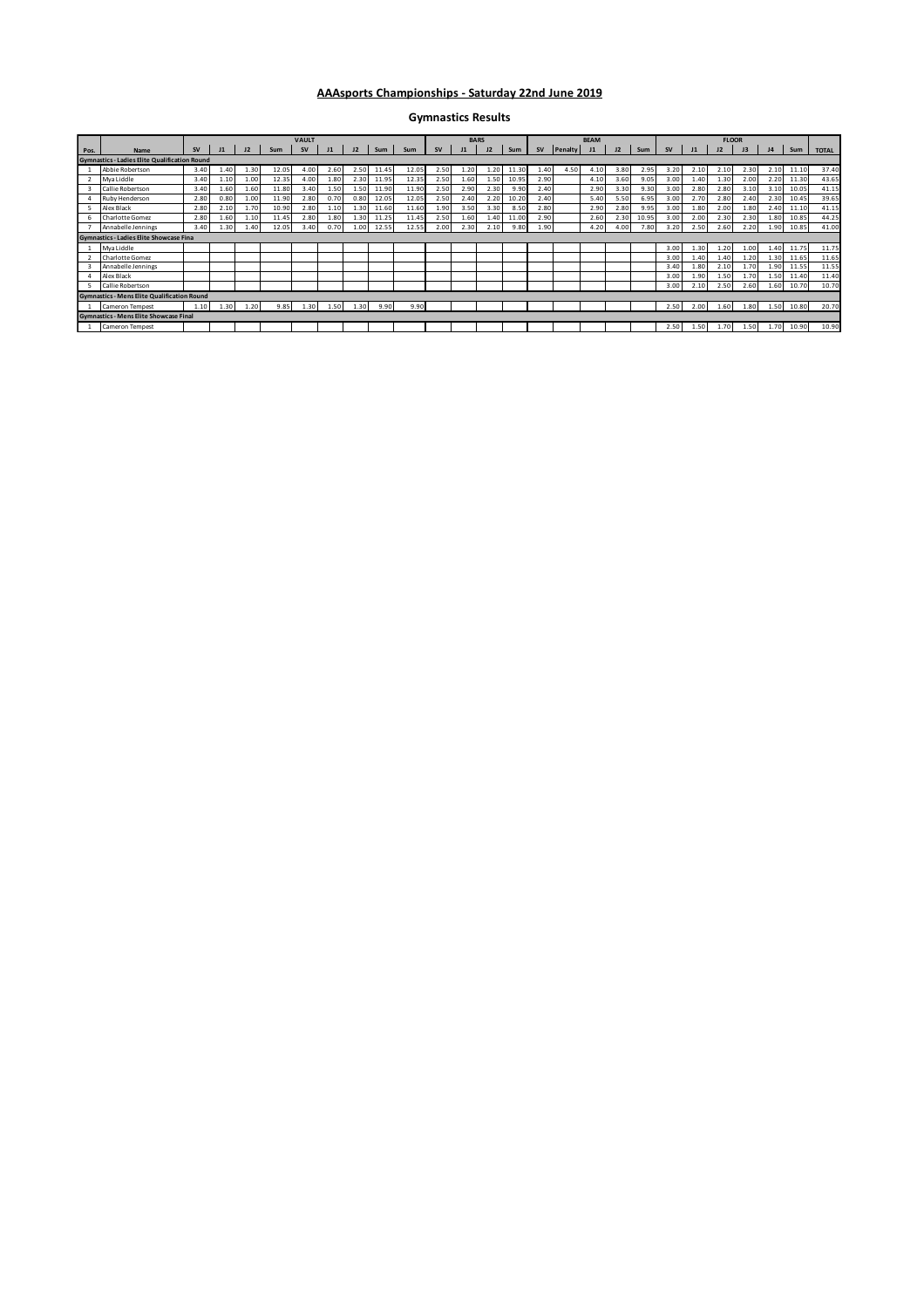#### **AAAsports Championships - Saturday 22nd June 2019**

**Gymnastics Results**

|      |                                                      |           |      |      |       | <b>VAULT</b> |      |      |       |       |      | <b>BARS</b> |      |       |           |         | <b>BEAM</b> |      |       |           |      | <b>FLOOR</b> |      |                |            |              |
|------|------------------------------------------------------|-----------|------|------|-------|--------------|------|------|-------|-------|------|-------------|------|-------|-----------|---------|-------------|------|-------|-----------|------|--------------|------|----------------|------------|--------------|
| Pos. | Name                                                 | <b>SV</b> |      | J2   | Sum   |              |      |      | Sum   | Sum   |      |             |      | Sum   | <b>SV</b> | Penalty |             | J2   | Sum   | <b>SV</b> |      |              |      | J <sub>4</sub> | Sum        | <b>TOTAL</b> |
|      | <b>Gymnastics - Ladies Elite Qualification Round</b> |           |      |      |       |              |      |      |       |       |      |             |      |       |           |         |             |      |       |           |      |              |      |                |            |              |
|      | Abbie Robertson                                      | 3.40      | 1.40 | 1.30 | 12.05 | 4.00         | 2.60 | 2.50 | 11.45 | 12.05 | 2.50 | 1.20        | 1.20 | 11.30 | 1.40      | 4.50    | 4.10        | 3.80 | 2.95  | 3.20      | 2.10 | 2.10         | 2.30 | 2.10           | 11.10      | 37.40        |
|      | Mya Liddle                                           | 3.40      | 1.10 | 1.00 | 12.35 | 4.00         | 1.80 | 2.30 | 11.95 | 12.35 | 2.50 | 1.60        | 1.50 | 10.95 | 2.90      |         | 4.10        | 3.60 | 9.05  | 3.00      | 1.40 | 1.30         | 2.00 | 2.20           | 11.30      | 43.65        |
|      | Callie Robertson                                     | 3.40      | 1.60 | 1.60 | 11.80 | 3.40         | 1.50 | 1.50 | 11.90 | 11.90 | 2.50 | 2.90        | 2.30 | 9.90  | 2.40      |         | 2.90        | 3.30 | 9.30  | 3.00      | 2.80 | 2.80         | 3.10 | 3.10           | 10.05      | 41.15        |
|      | Ruby Henderson                                       | 2.80      | 0.80 | 1.00 | 11.90 | 2.80         | 0.70 | 0.80 | 12.05 | 12.05 | 2.50 | 2.40        | 2.20 | 10.20 | 2.40      |         | 5.40        | 5.50 | 6.95  | 3.00      | 2.70 | 2.80         | 2.40 | 2.30           | 10.45      | 39.65        |
|      | Alex Black                                           | 2.80      | 2.10 | 1.70 | 10.90 | 2.80         | 1.10 | 1.30 | 11.60 | 11.60 | 1.90 | 3.50        | 3.30 | 8.50  | 2.80      |         | 2.90        | 2.80 | 9.95  | 3.00      | 1.80 | 2.00         | 1.80 | 2.40           | 11.10      | 41.15        |
|      | Charlotte Gomez                                      | 2.80      | 1.60 | 1.10 | 11.45 | 2.80         | 1.80 | 1.30 | 11.25 | 11.45 | 2.50 | 1.60        | 1.40 | 11.00 | 2.90      |         | 2.60        | 2.30 | 10.95 | 3.00      | 2.00 | 2.30         | 2.30 | 1.80           | 10.85      | 44.25        |
|      | Annabelle Jennings                                   | 3.40      | 1.30 | 1.40 | 12.05 | 3.40         | 0.70 | 1.00 | 12.55 | 12.55 | 2.00 | 2.30        | 2.10 | 9.80  | 1.90      |         | 4.20        | 4.00 | 7.80  | 3.20      | 2.50 | 2.60         | 2.20 | 1.90           | 10.85      | 41.00        |
|      | <b>Gymnastics - Ladies Elite Showcase Fina</b>       |           |      |      |       |              |      |      |       |       |      |             |      |       |           |         |             |      |       |           |      |              |      |                |            |              |
|      | Mya Liddle                                           |           |      |      |       |              |      |      |       |       |      |             |      |       |           |         |             |      |       | 3.00      | 1.30 | 1.20         | 1.00 | 1.40           | 11.75      | 11.75        |
|      | Charlotte Gomez                                      |           |      |      |       |              |      |      |       |       |      |             |      |       |           |         |             |      |       | 3.00      | 1.40 | 1.40         | 1.20 | 1.30           | 11.65      | 11.65        |
|      | Annabelle Jennings                                   |           |      |      |       |              |      |      |       |       |      |             |      |       |           |         |             |      |       | 3.40      | 1.80 | 2.10         | 1.70 | 1.90           | 11.55      | 11.55        |
|      | Alex Black                                           |           |      |      |       |              |      |      |       |       |      |             |      |       |           |         |             |      |       | 3.00      | 1.90 | 1.50         | 1.70 | 1.50           | 11.40      | 11.40        |
|      | Callie Robertson                                     |           |      |      |       |              |      |      |       |       |      |             |      |       |           |         |             |      |       | 3.00      | 2.10 | 2.50         | 2.60 | 1.60           | 10.70      | 10.70        |
|      | <b>Gymnastics - Mens Elite Qualification Round</b>   |           |      |      |       |              |      |      |       |       |      |             |      |       |           |         |             |      |       |           |      |              |      |                |            |              |
|      | Cameron Tempest                                      | 1.10      | 1.30 | 1.20 | 9.85  | 1.30         | 1.50 | 1.30 | 9.90  | 9.90  |      |             |      |       |           |         |             |      |       | 2.50      | 2.00 | 1.60         | 1.80 |                | 1.50 10.80 | 20.70        |
|      | <b>Gymnastics - Mens Elite Showcase Final</b>        |           |      |      |       |              |      |      |       |       |      |             |      |       |           |         |             |      |       |           |      |              |      |                |            |              |
|      | Cameron Tempest                                      |           |      |      |       |              |      |      |       |       |      |             |      |       |           |         |             |      |       | 2.50      | 1.50 | 1.70         | 1.50 | 1.70           | 10.90      | 10.90        |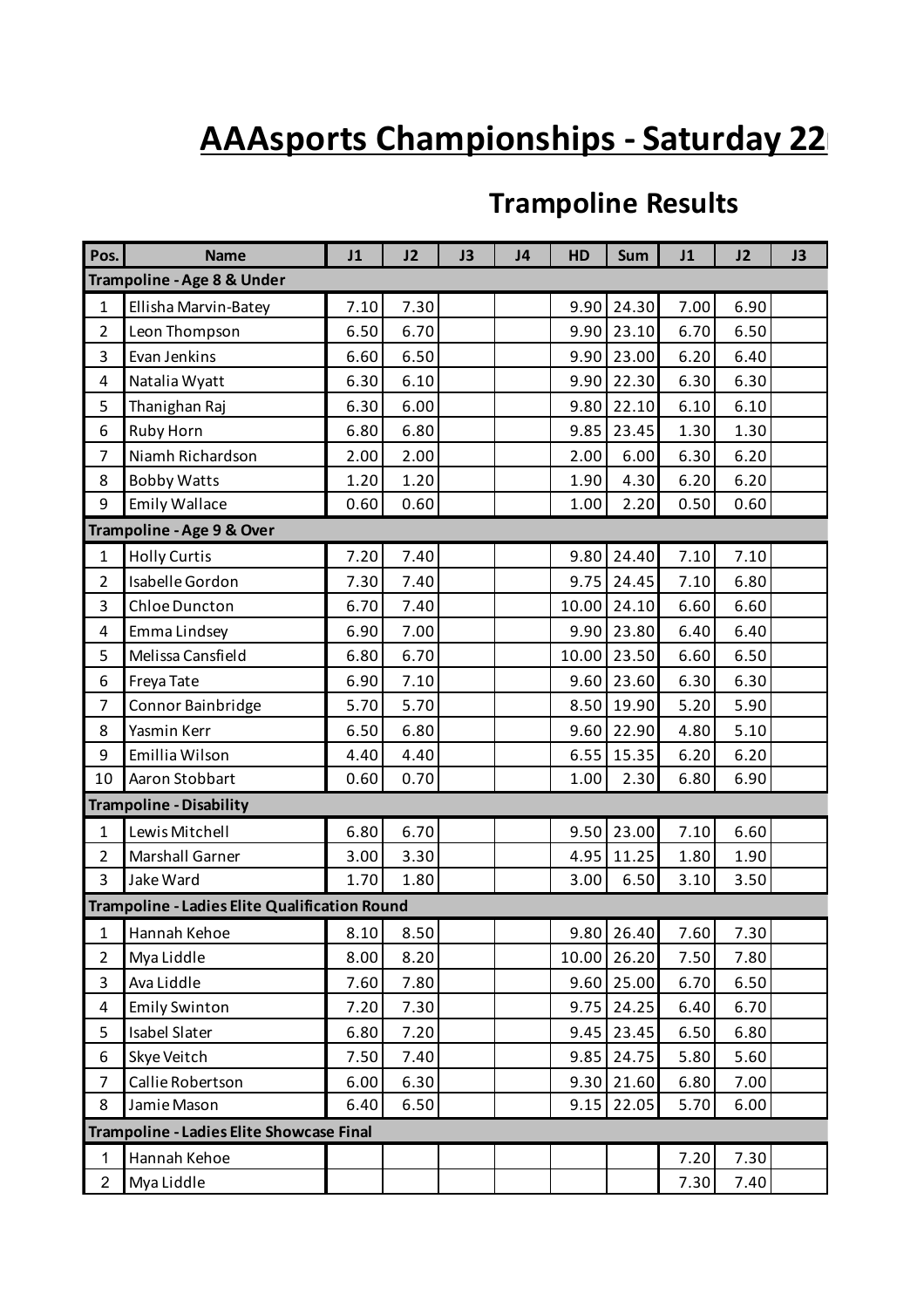# **AAAsports Championships - Saturday 22**

### **Trampoline Results**

| Pos.           | <b>Name</b>                                   | J1   | J2   | J3 | J4 | HD    | <b>Sum</b> | J1   | J2   | J3 |
|----------------|-----------------------------------------------|------|------|----|----|-------|------------|------|------|----|
|                | Trampoline - Age 8 & Under                    |      |      |    |    |       |            |      |      |    |
| $\mathbf{1}$   | Ellisha Marvin-Batey                          | 7.10 | 7.30 |    |    | 9.90  | 24.30      | 7.00 | 6.90 |    |
| $\overline{2}$ | Leon Thompson                                 | 6.50 | 6.70 |    |    | 9.90  | 23.10      | 6.70 | 6.50 |    |
| 3              | Evan Jenkins                                  | 6.60 | 6.50 |    |    | 9.90  | 23.00      | 6.20 | 6.40 |    |
| 4              | Natalia Wyatt                                 | 6.30 | 6.10 |    |    | 9.90  | 22.30      | 6.30 | 6.30 |    |
| 5              | Thanighan Raj                                 | 6.30 | 6.00 |    |    | 9.80  | 22.10      | 6.10 | 6.10 |    |
| 6              | Ruby Horn                                     | 6.80 | 6.80 |    |    | 9.85  | 23.45      | 1.30 | 1.30 |    |
| 7              | Niamh Richardson                              | 2.00 | 2.00 |    |    | 2.00  | 6.00       | 6.30 | 6.20 |    |
| 8              | <b>Bobby Watts</b>                            | 1.20 | 1.20 |    |    | 1.90  | 4.30       | 6.20 | 6.20 |    |
| 9              | <b>Emily Wallace</b>                          | 0.60 | 0.60 |    |    | 1.00  | 2.20       | 0.50 | 0.60 |    |
|                | Trampoline - Age 9 & Over                     |      |      |    |    |       |            |      |      |    |
| $\mathbf{1}$   | <b>Holly Curtis</b>                           | 7.20 | 7.40 |    |    | 9.80  | 24.40      | 7.10 | 7.10 |    |
| $\overline{2}$ | Isabelle Gordon                               | 7.30 | 7.40 |    |    | 9.75  | 24.45      | 7.10 | 6.80 |    |
| 3              | Chloe Duncton                                 | 6.70 | 7.40 |    |    | 10.00 | 24.10      | 6.60 | 6.60 |    |
| 4              | Emma Lindsey                                  | 6.90 | 7.00 |    |    | 9.90  | 23.80      | 6.40 | 6.40 |    |
| 5              | Melissa Cansfield                             | 6.80 | 6.70 |    |    | 10.00 | 23.50      | 6.60 | 6.50 |    |
| 6              | Freya Tate                                    | 6.90 | 7.10 |    |    | 9.60  | 23.60      | 6.30 | 6.30 |    |
| $\overline{7}$ | Connor Bainbridge                             | 5.70 | 5.70 |    |    | 8.50  | 19.90      | 5.20 | 5.90 |    |
| 8              | Yasmin Kerr                                   | 6.50 | 6.80 |    |    | 9.60  | 22.90      | 4.80 | 5.10 |    |
| 9              | Emillia Wilson                                | 4.40 | 4.40 |    |    | 6.55  | 15.35      | 6.20 | 6.20 |    |
| 10             | Aaron Stobbart                                | 0.60 | 0.70 |    |    | 1.00  | 2.30       | 6.80 | 6.90 |    |
|                | <b>Trampoline - Disability</b>                |      |      |    |    |       |            |      |      |    |
| $\mathbf{1}$   | Lewis Mitchell                                | 6.80 | 6.70 |    |    | 9.50  | 23.00      | 7.10 | 6.60 |    |
| $\overline{2}$ | Marshall Garner                               | 3.00 | 3.30 |    |    | 4.95  | 11.25      | 1.80 | 1.90 |    |
| 3              | Jake Ward                                     | 1.70 | 1.80 |    |    | 3.00  | 6.50       | 3.10 | 3.50 |    |
|                | Trampoline - Ladies Elite Qualification Round |      |      |    |    |       |            |      |      |    |
| $\mathbf{1}$   | Hannah Kehoe                                  | 8.10 | 8.50 |    |    |       | 9.80 26.40 | 7.60 | 7.30 |    |
| $\overline{2}$ | Mya Liddle                                    | 8.00 | 8.20 |    |    | 10.00 | 26.20      | 7.50 | 7.80 |    |
| $\overline{3}$ | Ava Liddle                                    | 7.60 | 7.80 |    |    | 9.60  | 25.00      | 6.70 | 6.50 |    |
| 4              | <b>Emily Swinton</b>                          | 7.20 | 7.30 |    |    | 9.75  | 24.25      | 6.40 | 6.70 |    |
| 5              | <b>Isabel Slater</b>                          | 6.80 | 7.20 |    |    | 9.45  | 23.45      | 6.50 | 6.80 |    |
| 6              | Skye Veitch                                   | 7.50 | 7.40 |    |    | 9.85  | 24.75      | 5.80 | 5.60 |    |
| $\overline{7}$ | Callie Robertson                              | 6.00 | 6.30 |    |    | 9.30  | 21.60      | 6.80 | 7.00 |    |
| 8              | Jamie Mason                                   | 6.40 | 6.50 |    |    | 9.15  | 22.05      | 5.70 | 6.00 |    |
|                | Trampoline - Ladies Elite Showcase Final      |      |      |    |    |       |            |      |      |    |
| 1              | Hannah Kehoe                                  |      |      |    |    |       |            | 7.20 | 7.30 |    |
| $\overline{2}$ | Mya Liddle                                    |      |      |    |    |       |            | 7.30 | 7.40 |    |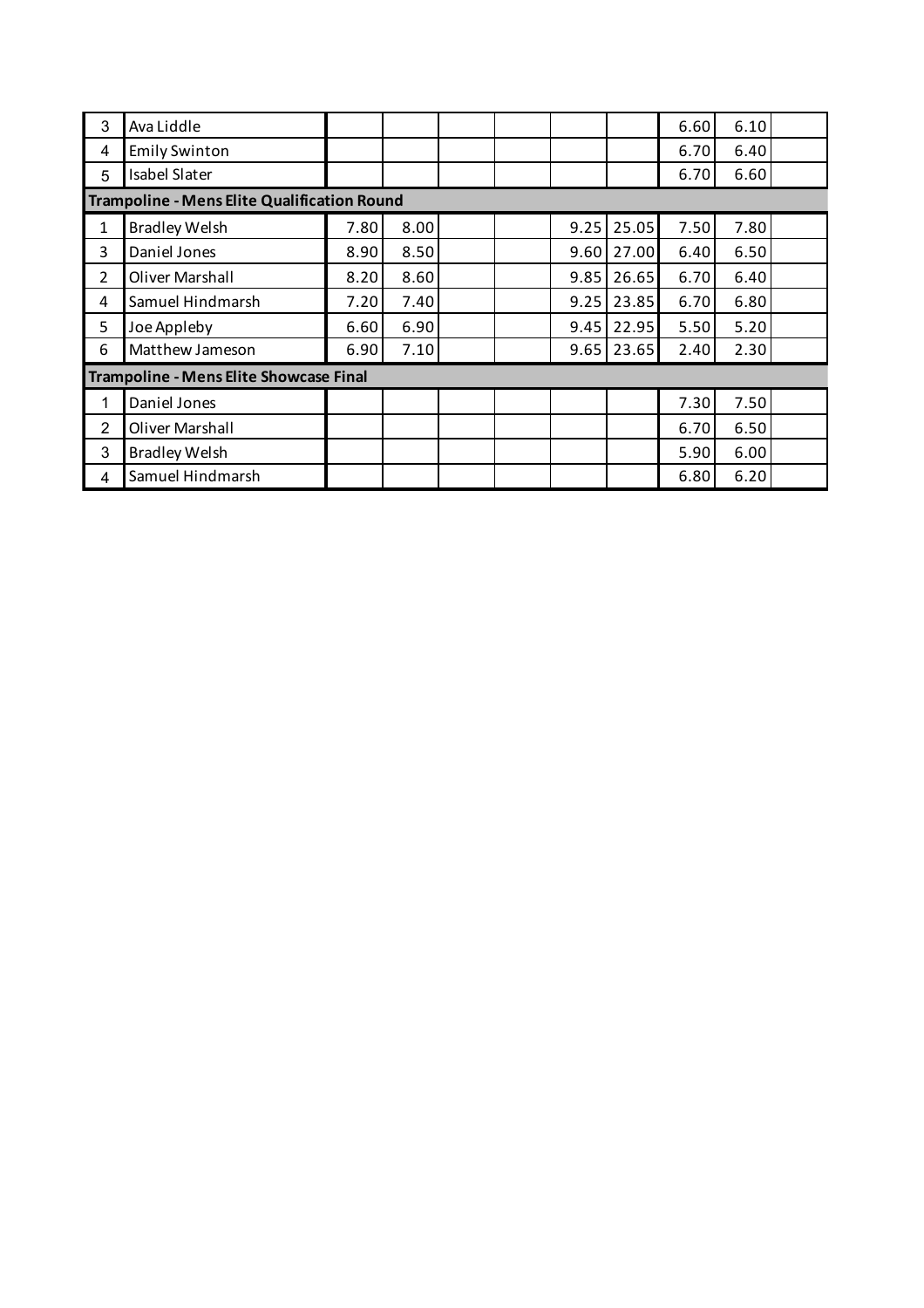| 3 | Ava Liddle                                         |      |      |  |      |       | 6.60 | 6.10 |  |
|---|----------------------------------------------------|------|------|--|------|-------|------|------|--|
| 4 | <b>Emily Swinton</b>                               |      |      |  |      |       | 6.70 | 6.40 |  |
| 5 | <b>Isabel Slater</b>                               |      |      |  |      |       | 6.70 | 6.60 |  |
|   | <b>Trampoline - Mens Elite Qualification Round</b> |      |      |  |      |       |      |      |  |
| 1 | <b>Bradley Welsh</b>                               | 7.80 | 8.00 |  | 9.25 | 25.05 | 7.50 | 7.80 |  |
| 3 | Daniel Jones                                       | 8.90 | 8.50 |  | 9.60 | 27.00 | 6.40 | 6.50 |  |
| 2 | Oliver Marshall                                    | 8.20 | 8.60 |  | 9.85 | 26.65 | 6.70 | 6.40 |  |
| 4 | Samuel Hindmarsh                                   | 7.20 | 7.40 |  | 9.25 | 23.85 | 6.70 | 6.80 |  |
| 5 | Joe Appleby                                        | 6.60 | 6.90 |  | 9.45 | 22.95 | 5.50 | 5.20 |  |
| 6 | Matthew Jameson                                    | 6.90 | 7.10 |  | 9.65 | 23.65 | 2.40 | 2.30 |  |
|   | <b>Trampoline - Mens Elite Showcase Final</b>      |      |      |  |      |       |      |      |  |
| 1 | Daniel Jones                                       |      |      |  |      |       | 7.30 | 7.50 |  |
| 2 | Oliver Marshall                                    |      |      |  |      |       | 6.70 | 6.50 |  |
| 3 | <b>Bradley Welsh</b>                               |      |      |  |      |       | 5.90 | 6.00 |  |
| 4 | Samuel Hindmarsh                                   |      |      |  |      |       | 6.80 | 6.20 |  |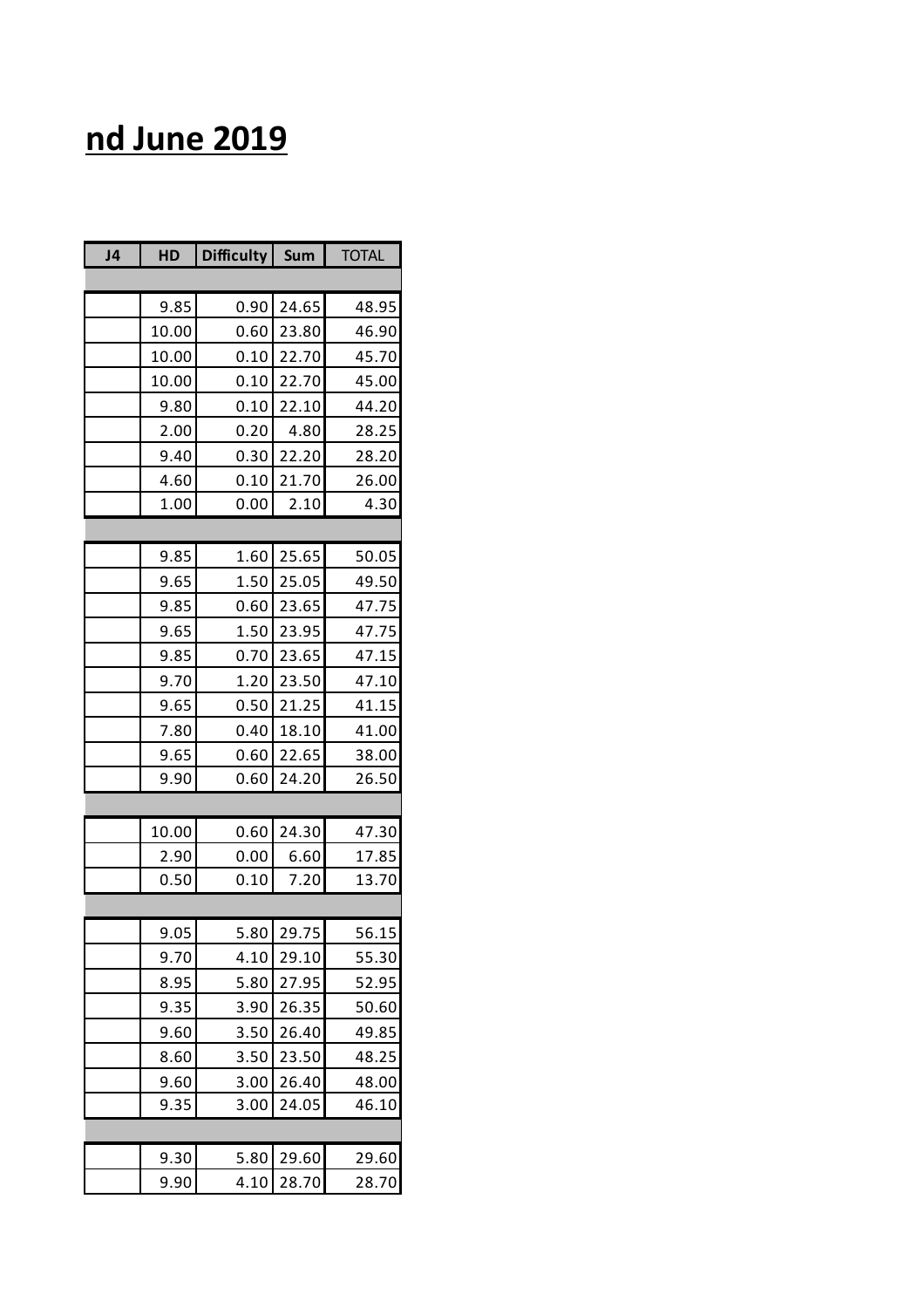## **nd June 2019**

| J <sub>4</sub> | HD    | <b>Difficulty</b> | Sum   | <b>TOTAL</b> |
|----------------|-------|-------------------|-------|--------------|
|                |       |                   |       |              |
|                | 9.85  | 0.90              | 24.65 | 48.95        |
|                | 10.00 | 0.60              | 23.80 | 46.90        |
|                | 10.00 | 0.10              | 22.70 | 45.70        |
|                | 10.00 | 0.10              | 22.70 | 45.00        |
|                | 9.80  | 0.10              | 22.10 | 44.20        |
|                | 2.00  | 0.20              | 4.80  | 28.25        |
|                | 9.40  | 0.30              | 22.20 | 28.20        |
|                | 4.60  | 0.10              | 21.70 | 26.00        |
|                | 1.00  | 0.00              | 2.10  | 4.30         |
|                |       |                   |       |              |
|                | 9.85  | 1.60              | 25.65 | 50.05        |
|                | 9.65  | 1.50              | 25.05 | 49.50        |
|                | 9.85  | 0.60              | 23.65 | 47.75        |
|                | 9.65  | 1.50              | 23.95 | 47.75        |
|                | 9.85  | 0.70              | 23.65 | 47.15        |
|                | 9.70  | 1.20              | 23.50 | 47.10        |
|                | 9.65  | 0.50              | 21.25 | 41.15        |
|                | 7.80  | 0.40              | 18.10 | 41.00        |
|                | 9.65  | 0.60              | 22.65 | 38.00        |
|                | 9.90  | 0.60              | 24.20 | 26.50        |
|                |       |                   |       |              |
|                | 10.00 | 0.60              | 24.30 | 47.30        |
|                | 2.90  | 0.00              | 6.60  | 17.85        |
|                | 0.50  | 0.10              | 7.20  | 13.70        |
|                |       |                   |       |              |
|                | 9.05  | 5.80              | 29.75 | 56.15        |
|                | 9.70  | 4.10              | 29.10 | 55.30        |
|                | 8.95  | 5.80              | 27.95 | 52.95        |
|                | 9.35  | 3.90              | 26.35 | 50.60        |
|                | 9.60  | 3.50              | 26.40 | 49.85        |
|                | 8.60  | 3.50              | 23.50 | 48.25        |
|                | 9.60  | 3.00              | 26.40 | 48.00        |
|                | 9.35  | 3.00              | 24.05 | 46.10        |
|                |       |                   |       |              |
|                | 9.30  | 5.80              | 29.60 | 29.60        |
|                | 9.90  | 4.10              | 28.70 | 28.70        |